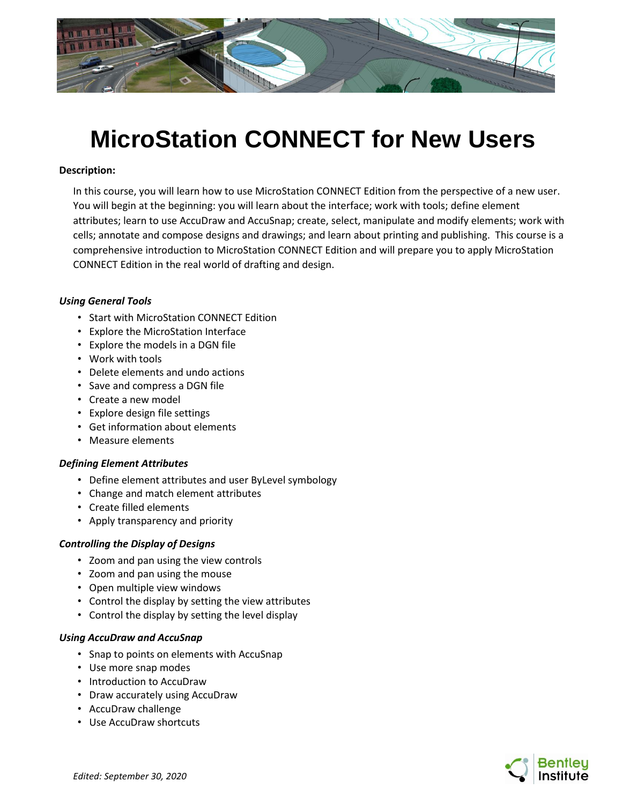

# **MicroStation CONNECT for New Users**

### **Description:**

In this course, you will learn how to use MicroStation CONNECT Edition from the perspective of a new user. You will begin at the beginning: you will learn about the interface; work with tools; define element attributes; learn to use AccuDraw and AccuSnap; create, select, manipulate and modify elements; work with cells; annotate and compose designs and drawings; and learn about printing and publishing. This course is a comprehensive introduction to MicroStation CONNECT Edition and will prepare you to apply MicroStation CONNECT Edition in the real world of drafting and design.

#### *Using General Tools*

- Start with MicroStation CONNECT Edition
- Explore the MicroStation Interface
- Explore the models in a DGN file
- Work with tools
- Delete elements and undo actions
- Save and compress a DGN file
- Create a new model
- Explore design file settings
- Get information about elements
- Measure elements

#### *Defining Element Attributes*

- Define element attributes and user ByLevel symbology
- Change and match element attributes
- Create filled elements
- Apply transparency and priority

#### *Controlling the Display of Designs*

- Zoom and pan using the view controls
- Zoom and pan using the mouse
- Open multiple view windows
- Control the display by setting the view attributes
- Control the display by setting the level display

#### *Using AccuDraw and AccuSnap*

- Snap to points on elements with AccuSnap
- Use more snap modes
- Introduction to AccuDraw
- Draw accurately using AccuDraw
- AccuDraw challenge
- Use AccuDraw shortcuts

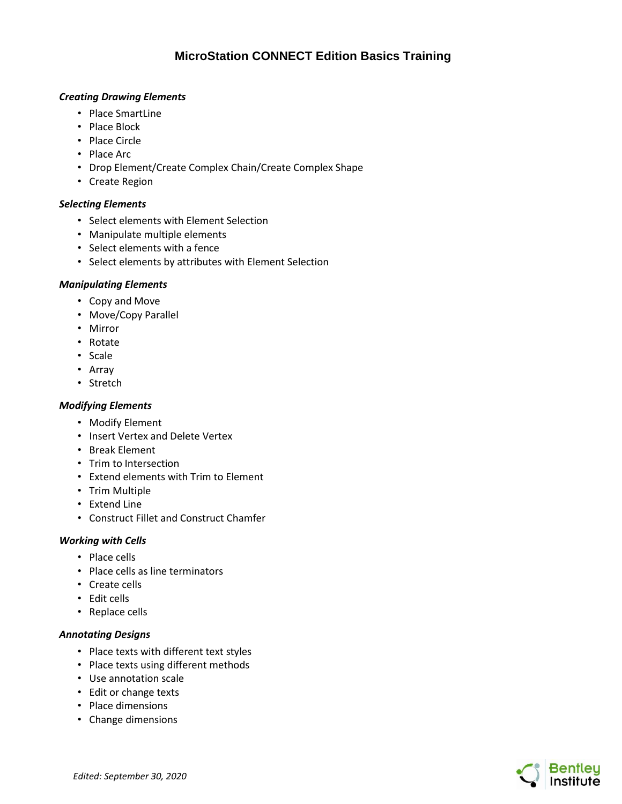# **MicroStation CONNECT Edition Basics Training**

# *Creating Drawing Elements*

- Place SmartLine
- Place Block
- Place Circle
- Place Arc
- Drop Element/Create Complex Chain/Create Complex Shape
- Create Region

# *Selecting Elements*

- Select elements with Element Selection
- Manipulate multiple elements
- Select elements with a fence
- Select elements by attributes with Element Selection

#### *Manipulating Elements*

- Copy and Move
- Move/Copy Parallel
- Mirror
- Rotate
- Scale
- Array
- Stretch

# *Modifying Elements*

- Modify Element
- Insert Vertex and Delete Vertex
- Break Element
- Trim to Intersection
- Extend elements with Trim to Element
- Trim Multiple
- Extend Line
- Construct Fillet and Construct Chamfer

#### *Working with Cells*

- Place cells
- Place cells as line terminators
- Create cells
- Edit cells
- Replace cells

# *Annotating Designs*

- Place texts with different text styles
- Place texts using different methods
- Use annotation scale
- Edit or change texts
- Place dimensions
- Change dimensions